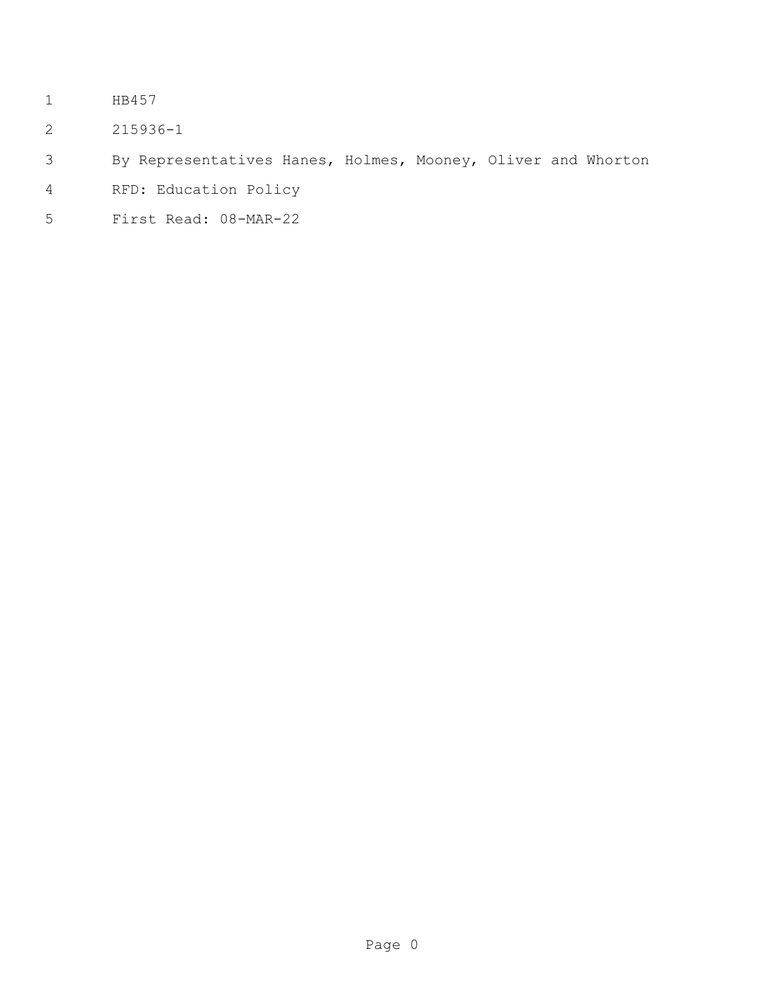- HB457
- 215936-1
- By Representatives Hanes, Holmes, Mooney, Oliver and Whorton
- RFD: Education Policy
- First Read: 08-MAR-22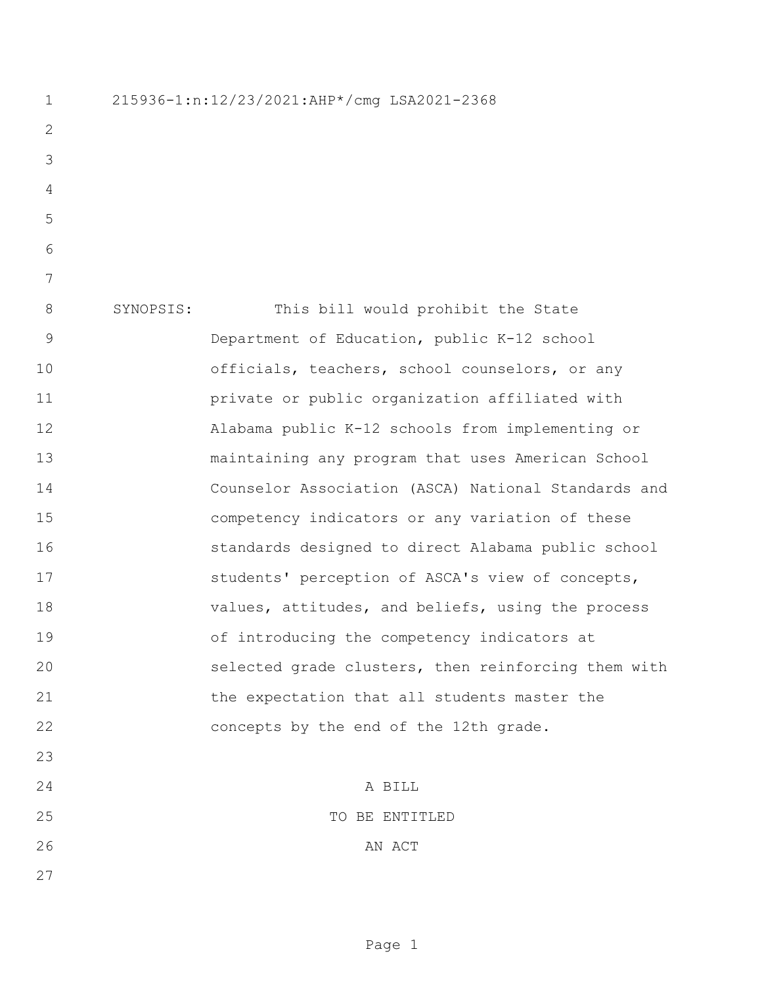215936-1:n:12/23/2021:AHP\*/cmg LSA2021-2368 SYNOPSIS: This bill would prohibit the State Department of Education, public K-12 school officials, teachers, school counselors, or any private or public organization affiliated with Alabama public K-12 schools from implementing or maintaining any program that uses American School Counselor Association (ASCA) National Standards and competency indicators or any variation of these standards designed to direct Alabama public school students' perception of ASCA's view of concepts, values, attitudes, and beliefs, using the process of introducing the competency indicators at selected grade clusters, then reinforcing them with the expectation that all students master the concepts by the end of the 12th grade. A BILL 25 TO BE ENTITLED 26 AN ACT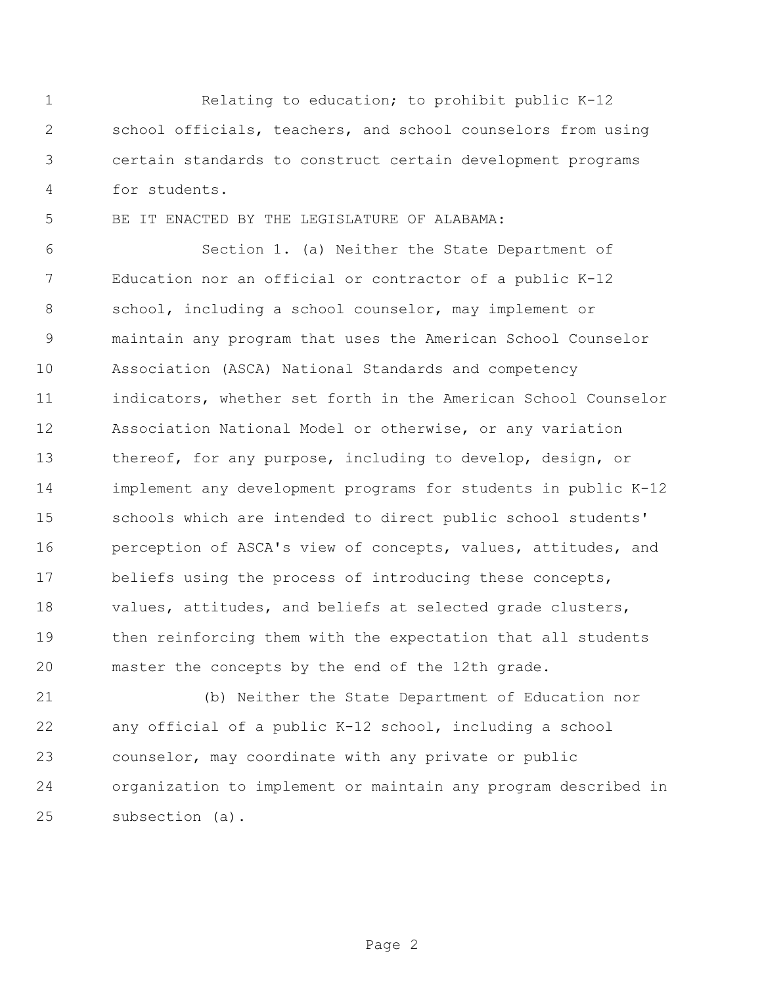Relating to education; to prohibit public K-12 school officials, teachers, and school counselors from using certain standards to construct certain development programs for students.

BE IT ENACTED BY THE LEGISLATURE OF ALABAMA:

 Section 1. (a) Neither the State Department of Education nor an official or contractor of a public K-12 school, including a school counselor, may implement or maintain any program that uses the American School Counselor Association (ASCA) National Standards and competency indicators, whether set forth in the American School Counselor Association National Model or otherwise, or any variation thereof, for any purpose, including to develop, design, or implement any development programs for students in public K-12 schools which are intended to direct public school students' perception of ASCA's view of concepts, values, attitudes, and beliefs using the process of introducing these concepts, values, attitudes, and beliefs at selected grade clusters, then reinforcing them with the expectation that all students master the concepts by the end of the 12th grade.

 (b) Neither the State Department of Education nor any official of a public K-12 school, including a school counselor, may coordinate with any private or public organization to implement or maintain any program described in subsection (a).

Page 2